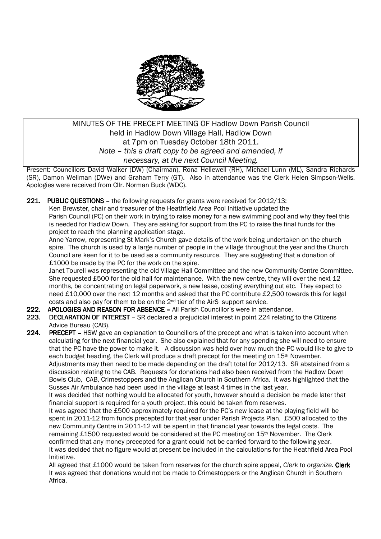

## MINUTES OF THE PRECEPT MEETING OF Hadlow Down Parish Council held in Hadlow Down Village Hall, Hadlow Down at 7pm on Tuesday October 18th 2011. *Note – this a draft copy to be agreed and amended, if necessary, at the next Council Meeting.*

Present: Councillors David Walker (DW) (Chairman), Rona Hellewell (RH), Michael Lunn (ML), Sandra Richards (SR), Damon Wellman (DWe) and Graham Terry (GT). Also in attendance was the Clerk Helen Simpson-Wells. Apologies were received from Cllr. Norman Buck (WDC).

221. PUBLIC OUESTIONS – the following requests for grants were received for  $2012/13$ :

 Ken Brewster, chair and treasurer of the Heathfield Area Pool Initiative updated the Parish Council (PC) on their work in trying to raise money for a new swimming pool and why they feel this is needed for Hadlow Down. They are asking for support from the PC to raise the final funds for the project to reach the planning application stage.

Anne Yarrow, representing St Mark's Church gave details of the work being undertaken on the church spire. The church is used by a large number of people in the village throughout the year and the Church Council are keen for it to be used as a community resource. They are suggesting that a donation of £1000 be made by the PC for the work on the spire.

Janet Tourell was representing the old Village Hall Committee and the new Community Centre Committee. She requested £500 for the old hall for maintenance. With the new centre, they will over the next 12 months, be concentrating on legal paperwork, a new lease, costing everything out etc. They expect to need £10,000 over the next 12 months and asked that the PC contribute £2,500 towards this for legal costs and also pay for them to be on the  $2<sup>nd</sup>$  tier of the AirS support service.

- 222. APOLOGIES AND REASON FOR ABSENCE All Parish Councillor's were in attendance.
- 223. DECLARATION OF INTEREST SR declared a prejudicial interest in point 224 relating to the Citizens Advice Bureau (CAB).

224. PRECEPT - HSW gave an explanation to Councillors of the precept and what is taken into account when calculating for the next financial year. She also explained that for any spending she will need to ensure that the PC have the power to make it. A discussion was held over how much the PC would like to give to each budget heading, the Clerk will produce a draft precept for the meeting on 15<sup>th</sup> November. Adjustments may then need to be made depending on the draft total for 2012/13. SR abstained from a discussion relating to the CAB. Requests for donations had also been received from the Hadlow Down Bowls Club, CAB, Crimestoppers and the Anglican Church in Southern Africa. It was highlighted that the Sussex Air Ambulance had been used in the village at least 4 times in the last year.

It was decided that nothing would be allocated for youth, however should a decision be made later that financial support is required for a youth project, this could be taken from reserves.

It was agreed that the £500 approximately required for the PC's new lease at the playing field will be spent in 2011-12 from funds precepted for that year under Parish Projects Plan. £500 allocated to the new Community Centre in 2011-12 will be spent in that financial year towards the legal costs. The remaining £1500 requested would be considered at the PC meeting on  $15<sup>th</sup>$  November. The Clerk confirmed that any money precepted for a grant could not be carried forward to the following year. It was decided that no figure would at present be included in the calculations for the Heathfield Area Pool Initiative.

All agreed that £1000 would be taken from reserves for the church spire appeal, *Clerk to organize.* Clerk It was agreed that donations would not be made to Crimestoppers or the Anglican Church in Southern Africa.